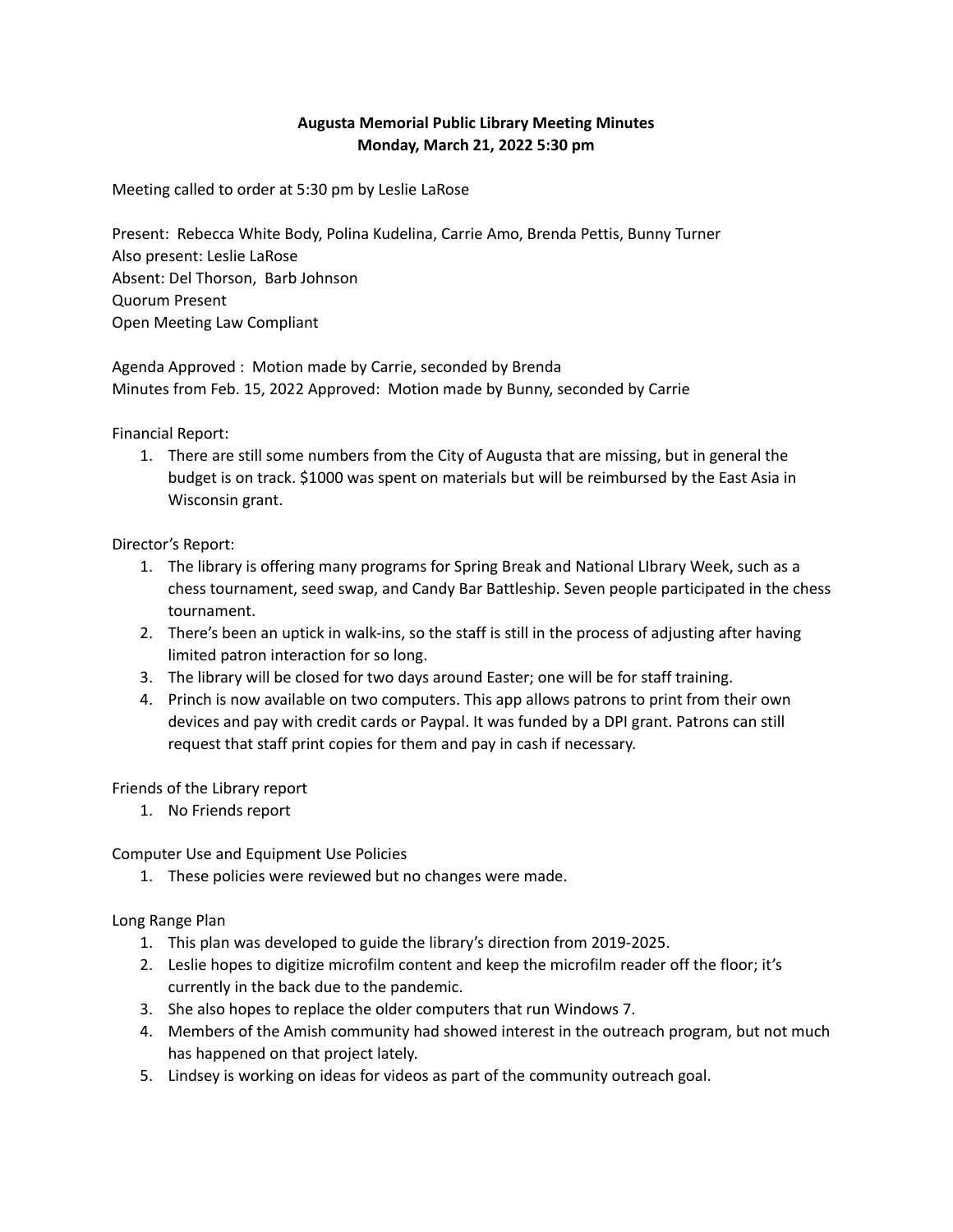## **Augusta Memorial Public Library Meeting Minutes Monday, March 21, 2022 5:30 pm**

Meeting called to order at 5:30 pm by Leslie LaRose

Present: Rebecca White Body, Polina Kudelina, Carrie Amo, Brenda Pettis, Bunny Turner Also present: Leslie LaRose Absent: Del Thorson, Barb Johnson Quorum Present Open Meeting Law Compliant

Agenda Approved : Motion made by Carrie, seconded by Brenda Minutes from Feb. 15, 2022 Approved: Motion made by Bunny, seconded by Carrie

Financial Report:

1. There are still some numbers from the City of Augusta that are missing, but in general the budget is on track. \$1000 was spent on materials but will be reimbursed by the East Asia in Wisconsin grant.

Director's Report:

- 1. The library is offering many programs for Spring Break and National LIbrary Week, such as a chess tournament, seed swap, and Candy Bar Battleship. Seven people participated in the chess tournament.
- 2. There's been an uptick in walk-ins, so the staff is still in the process of adjusting after having limited patron interaction for so long.
- 3. The library will be closed for two days around Easter; one will be for staff training.
- 4. Princh is now available on two computers. This app allows patrons to print from their own devices and pay with credit cards or Paypal. It was funded by a DPI grant. Patrons can still request that staff print copies for them and pay in cash if necessary.

Friends of the Library report

1. No Friends report

Computer Use and Equipment Use Policies

1. These policies were reviewed but no changes were made.

Long Range Plan

- 1. This plan was developed to guide the library's direction from 2019-2025.
- 2. Leslie hopes to digitize microfilm content and keep the microfilm reader off the floor; it's currently in the back due to the pandemic.
- 3. She also hopes to replace the older computers that run Windows 7.
- 4. Members of the Amish community had showed interest in the outreach program, but not much has happened on that project lately.
- 5. Lindsey is working on ideas for videos as part of the community outreach goal.